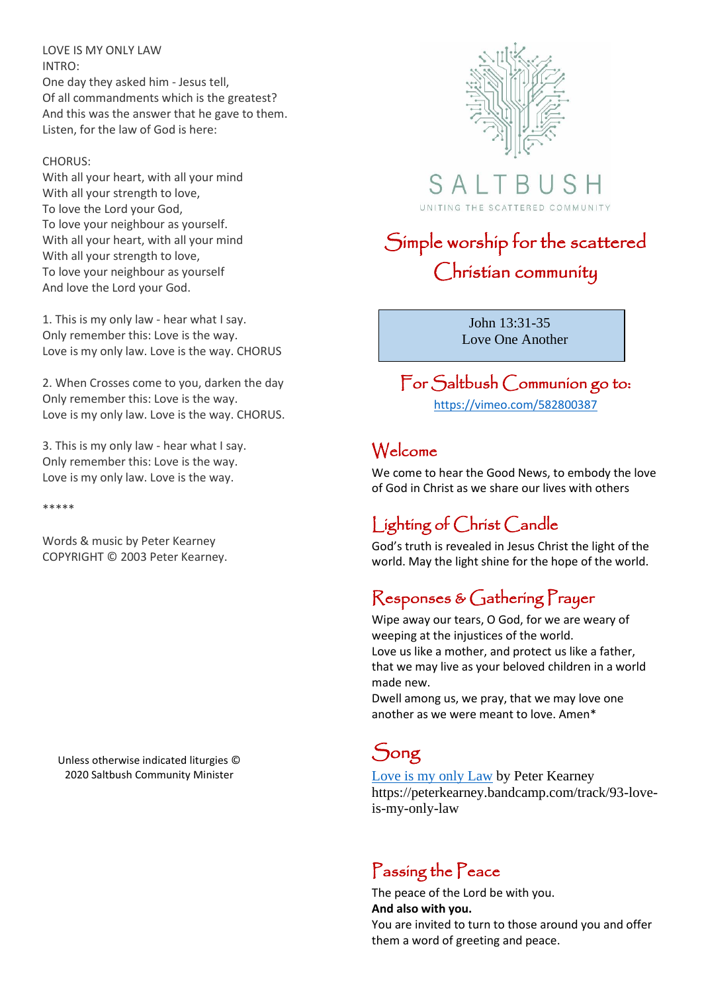LOVE IS MY ONLY LAW INTRO:

One day they asked him - Jesus tell, Of all commandments which is the greatest? And this was the answer that he gave to them. Listen, for the law of God is here:

#### CHORUS:

With all your heart, with all your mind With all your strength to love, To love the Lord your God, To love your neighbour as yourself. With all your heart, with all your mind With all your strength to love, To love your neighbour as yourself And love the Lord your God.

1. This is my only law - hear what I say. Only remember this: Love is the way. Love is my only law. Love is the way. CHORUS

2. When Crosses come to you, darken the day Only remember this: Love is the way. Love is my only law. Love is the way. CHORUS.

3. This is my only law - hear what I say. Only remember this: Love is the way. Love is my only law. Love is the way.

\*\*\*\*\*

Words & music by Peter Kearney COPYRIGHT © 2003 Peter Kearney.

Unless otherwise indicated liturgies © 2020 Saltbush Community Minister



 $S$  A  $\vdash$ UNITING THE SCATTERED COMMUNITY

# Simple worship for the scattered Christian community

 John 13:31-35 Love One Another

### For Saltbush Communion go to: <https://vimeo.com/582800387>

### Welcome

We come to hear the Good News, to embody the love of God in Christ as we share our lives with others

## Lighting of Christ Candle

God's truth is revealed in Jesus Christ the light of the world. May the light shine for the hope of the world.

### Responses & Gathering Prayer

Wipe away our tears, O God, for we are weary of weeping at the injustices of the world. Love us like a mother, and protect us like a father, that we may live as your beloved children in a world made new.

Dwell among us, we pray, that we may love one another as we were meant to love. Amen\*

## Song

[Love is my only Law](https://peterkearney.bandcamp.com/track/93-love-is-my-only-law) by Peter Kearney https://peterkearney.bandcamp.com/track/93-loveis-my-only-law

### Passing the Peace

The peace of the Lord be with you. **And also with you.**

You are invited to turn to those around you and offer them a word of greeting and peace.